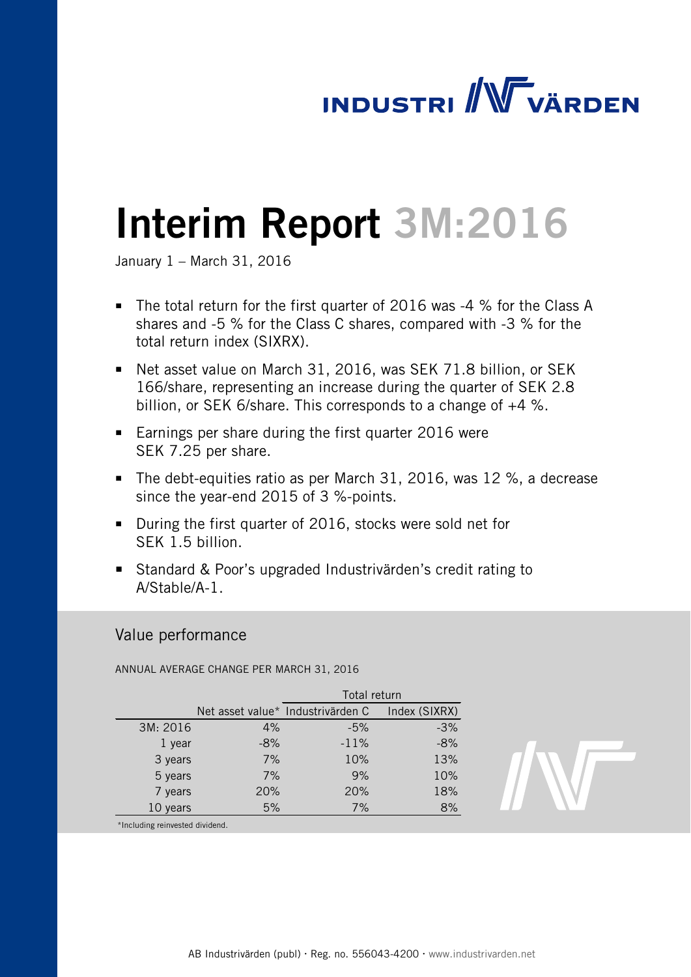# **INDUSTRI / WWW VÄRDEN**

# Interim Report 3M:2016

January 1 – March 31, 2016

- The total return for the first quarter of 2016 was -4 % for the Class A shares and -5 % for the Class C shares, compared with -3 % for the total return index (SIXRX).
- Net asset value on March 31, 2016, was SEK 71.8 billion, or SEK 166/share, representing an increase during the quarter of SEK 2.8 billion, or SEK 6/share. This corresponds to a change of +4 %.
- **Earnings per share during the first quarter 2016 were** SEK 7.25 per share.
- The debt-equities ratio as per March 31, 2016, was  $12\%$ , a decrease since the year-end 2015 of 3 %-points.
- During the first quarter of 2016, stocks were sold net for SEK 1.5 billion.
- Standard & Poor's upgraded Industrivärden's credit rating to A/Stable/A-1.

# Value performance

ANNUAL AVERAGE CHANGE PER MARCH 31, 2016

|          |       | Total return                      |               |  |  |
|----------|-------|-----------------------------------|---------------|--|--|
|          |       | Net asset value* Industrivärden C | Index (SIXRX) |  |  |
| 3M: 2016 | 4%    | $-5%$                             | $-3%$         |  |  |
| 1 year   | $-8%$ | $-11%$                            | $-8%$         |  |  |
| 3 years  | 7%    | 10%                               | 13%           |  |  |
| 5 years  | 7%    | 9%                                | 10%           |  |  |
| 7 years  | 20%   | 20%                               | 18%           |  |  |
| 10 years | 5%    | 7%                                | 8%            |  |  |
|          |       |                                   |               |  |  |



\*Including reinvested dividend.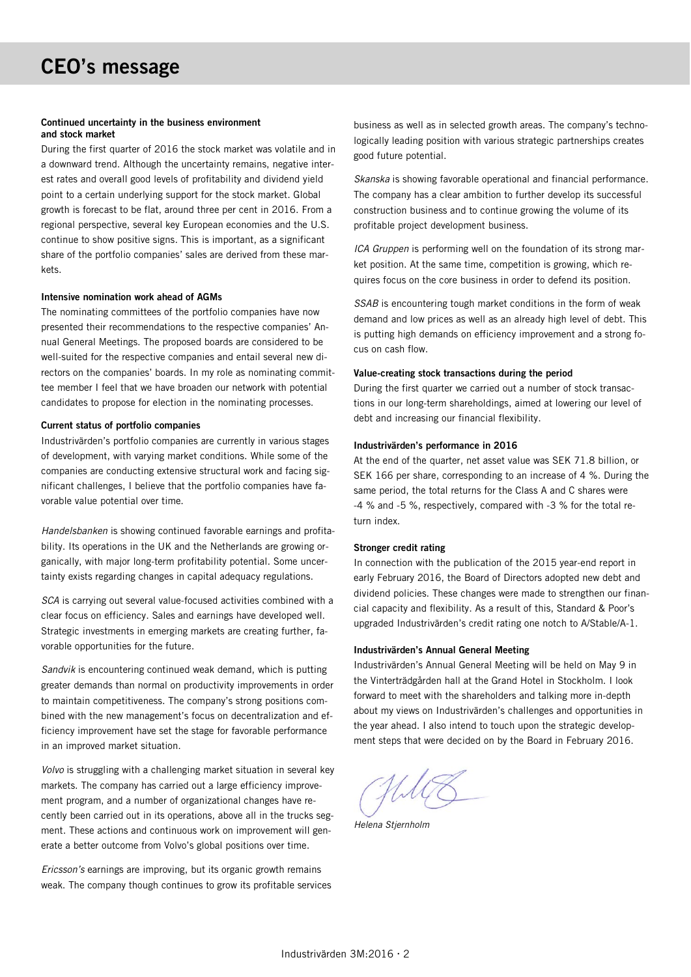#### Continued uncertainty in the business environment and stock market

During the first quarter of 2016 the stock market was volatile and in a downward trend. Although the uncertainty remains, negative interest rates and overall good levels of profitability and dividend yield point to a certain underlying support for the stock market. Global growth is forecast to be flat, around three per cent in 2016. From a regional perspective, several key European economies and the U.S. continue to show positive signs. This is important, as a significant share of the portfolio companies' sales are derived from these markets.

#### Intensive nomination work ahead of AGMs

The nominating committees of the portfolio companies have now presented their recommendations to the respective companies' Annual General Meetings. The proposed boards are considered to be well-suited for the respective companies and entail several new directors on the companies' boards. In my role as nominating committee member I feel that we have broaden our network with potential candidates to propose for election in the nominating processes.

#### Current status of portfolio companies

Industrivärden's portfolio companies are currently in various stages of development, with varying market conditions. While some of the companies are conducting extensive structural work and facing significant challenges, I believe that the portfolio companies have favorable value potential over time.

*Handelsbanken* is showing continued favorable earnings and profitability. Its operations in the UK and the Netherlands are growing organically, with major long-term profitability potential. Some uncertainty exists regarding changes in capital adequacy regulations.

*SCA* is carrying out several value-focused activities combined with a clear focus on efficiency. Sales and earnings have developed well. Strategic investments in emerging markets are creating further, favorable opportunities for the future.

*Sandvik* is encountering continued weak demand, which is putting greater demands than normal on productivity improvements in order to maintain competitiveness. The company's strong positions combined with the new management's focus on decentralization and efficiency improvement have set the stage for favorable performance in an improved market situation.

*Volvo* is struggling with a challenging market situation in several key markets. The company has carried out a large efficiency improvement program, and a number of organizational changes have recently been carried out in its operations, above all in the trucks segment. These actions and continuous work on improvement will generate a better outcome from Volvo's global positions over time.

*Ericsson's* earnings are improving, but its organic growth remains weak. The company though continues to grow its profitable services business as well as in selected growth areas. The company's technologically leading position with various strategic partnerships creates good future potential.

*Skanska* is showing favorable operational and financial performance. The company has a clear ambition to further develop its successful construction business and to continue growing the volume of its profitable project development business.

*ICA Gruppen* is performing well on the foundation of its strong market position. At the same time, competition is growing, which requires focus on the core business in order to defend its position.

*SSAB* is encountering tough market conditions in the form of weak demand and low prices as well as an already high level of debt. This is putting high demands on efficiency improvement and a strong focus on cash flow.

#### Value-creating stock transactions during the period

During the first quarter we carried out a number of stock transactions in our long-term shareholdings, aimed at lowering our level of debt and increasing our financial flexibility.

#### Industrivärden's performance in 2016

At the end of the quarter, net asset value was SEK 71.8 billion, or SEK 166 per share, corresponding to an increase of 4 %. During the same period, the total returns for the Class A and C shares were -4 % and -5 %, respectively, compared with -3 % for the total return index.

#### Stronger credit rating

In connection with the publication of the 2015 year-end report in early February 2016, the Board of Directors adopted new debt and dividend policies. These changes were made to strengthen our financial capacity and flexibility. As a result of this, Standard & Poor's upgraded Industrivärden's credit rating one notch to A/Stable/A-1.

#### Industrivärden's Annual General Meeting

Industrivärden's Annual General Meeting will be held on May 9 in the Vinterträdgården hall at the Grand Hotel in Stockholm. I look forward to meet with the shareholders and talking more in-depth about my views on Industrivärden's challenges and opportunities in the year ahead. I also intend to touch upon the strategic development steps that were decided on by the Board in February 2016.

*Helena Stjernholm*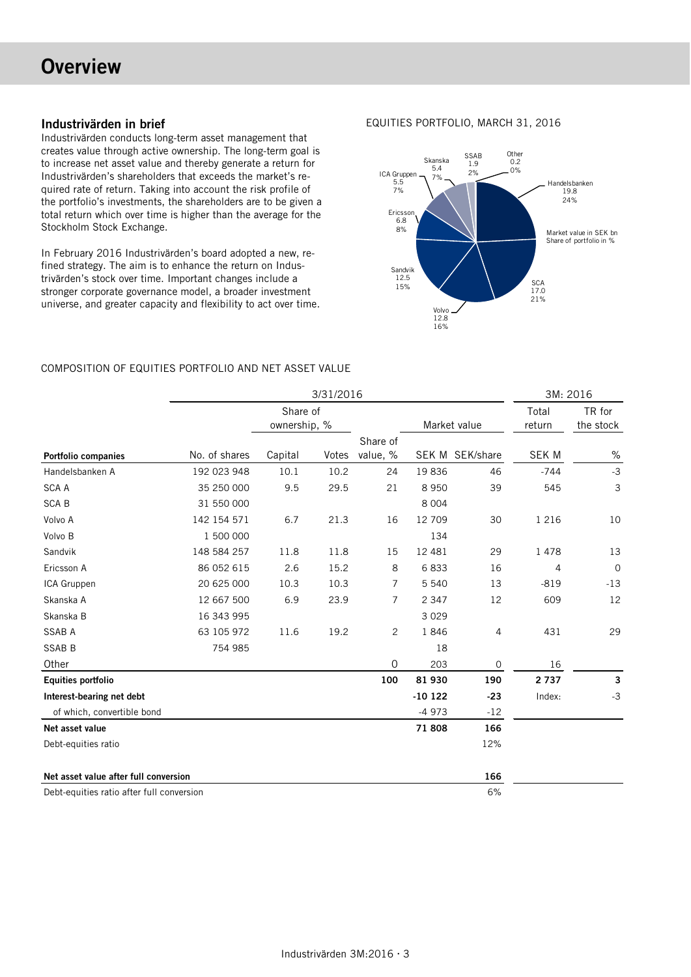# **Overview**

# Industrivärden in brief

Industrivärden conducts long-term asset management that creates value through active ownership. The long-term goal is to increase net asset value and thereby generate a return for Industrivärden's shareholders that exceeds the market's required rate of return. Taking into account the risk profile of the portfolio's investments, the shareholders are to be given a total return which over time is higher than the average for the Stockholm Stock Exchange.

In February 2016 Industrivärden's board adopted a new, refined strategy. The aim is to enhance the return on Industrivärden's stock over time. Important changes include a stronger corporate governance model, a broader investment universe, and greater capacity and flexibility to act over time.

### EQUITIES PORTFOLIO, MARCH 31, 2016



## COMPOSITION OF EQUITIES PORTFOLIO AND NET ASSET VALUE

|                                           | 3/31/2016     |                          |       |                |          |                 | 3M: 2016        |                     |
|-------------------------------------------|---------------|--------------------------|-------|----------------|----------|-----------------|-----------------|---------------------|
|                                           |               | Share of<br>ownership, % |       |                |          | Market value    | Total<br>return | TR for<br>the stock |
|                                           |               |                          |       | Share of       |          |                 |                 |                     |
| Portfolio companies                       | No. of shares | Capital                  | Votes | value, %       |          | SEK M SEK/share | <b>SEK M</b>    | $\%$                |
| Handelsbanken A                           | 192 023 948   | 10.1                     | 10.2  | 24             | 19836    | 46              | $-744$          | $-3$                |
| <b>SCA A</b>                              | 35 250 000    | 9.5                      | 29.5  | 21             | 8950     | 39              | 545             | 3                   |
| <b>SCAB</b>                               | 31 550 000    |                          |       |                | 8 0 0 4  |                 |                 |                     |
| Volvo A                                   | 142 154 571   | 6.7                      | 21.3  | 16             | 12709    | 30              | 1 2 1 6         | 10                  |
| Volvo B                                   | 1 500 000     |                          |       |                | 134      |                 |                 |                     |
| Sandvik                                   | 148 584 257   | 11.8                     | 11.8  | 15             | 12 4 8 1 | 29              | 1478            | 13                  |
| Ericsson A                                | 86 052 615    | 2.6                      | 15.2  | 8              | 6833     | 16              | 4               | $\mathbf 0$         |
| ICA Gruppen                               | 20 625 000    | 10.3                     | 10.3  | $\overline{7}$ | 5 5 4 0  | 13              | $-819$          | $-13$               |
| Skanska A                                 | 12 667 500    | 6.9                      | 23.9  | $\overline{7}$ | 2 3 4 7  | 12              | 609             | 12                  |
| Skanska B                                 | 16 343 995    |                          |       |                | 3 0 2 9  |                 |                 |                     |
| <b>SSAB A</b>                             | 63 105 972    | 11.6                     | 19.2  | 2              | 1846     | 4               | 431             | 29                  |
| <b>SSAB B</b>                             | 754 985       |                          |       |                | 18       |                 |                 |                     |
| Other                                     |               |                          |       | $\mathbf 0$    | 203      | $\mathbf 0$     | 16              |                     |
| <b>Equities portfolio</b>                 |               |                          |       | 100            | 81 930   | 190             | 2737            | 3                   |
| Interest-bearing net debt                 |               |                          |       |                | $-10122$ | $-23$           | Index:          | $-3$                |
| of which, convertible bond                |               |                          |       |                | $-4973$  | $-12$           |                 |                     |
| Net asset value                           |               |                          |       |                | 71808    | 166             |                 |                     |
| Debt-equities ratio                       |               |                          |       |                |          | 12%             |                 |                     |
| Net asset value after full conversion     |               |                          |       |                |          | 166             |                 |                     |
| Debt-equities ratio after full conversion |               |                          |       |                |          | 6%              |                 |                     |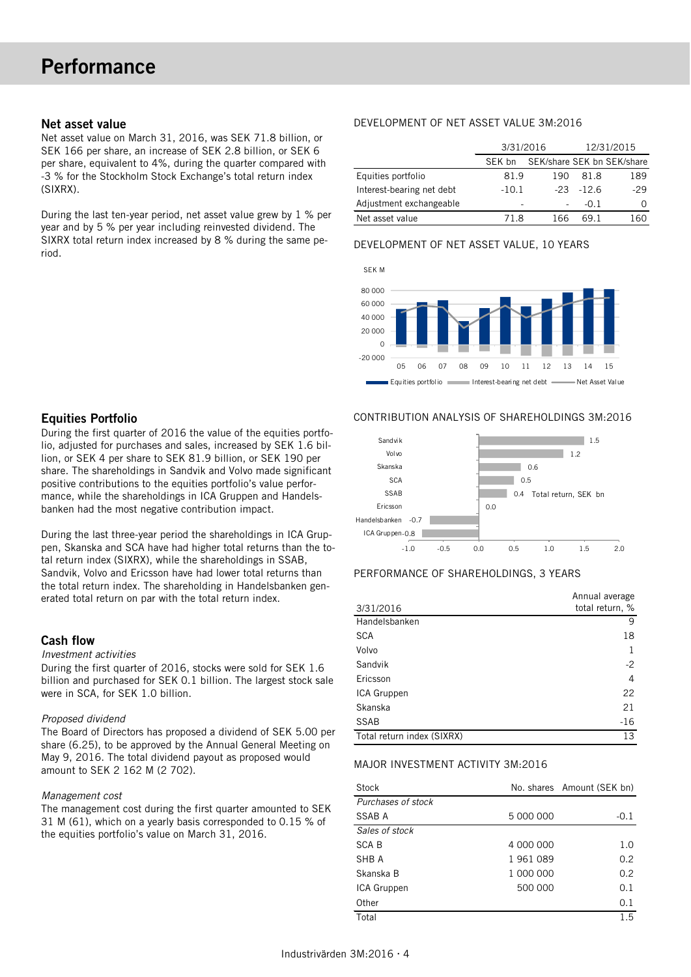#### Net asset value

Net asset value on March 31, 2016, was SEK 71.8 billion, or SEK 166 per share, an increase of SEK 2.8 billion, or SEK 6 per share, equivalent to 4%, during the quarter compared with -3 % for the Stockholm Stock Exchange's total return index (SIXRX).

During the last ten-year period, net asset value grew by 1 % per year and by 5 % per year including reinvested dividend. The SIXRX total return index increased by 8 % during the same period.

## DEVELOPMENT OF NET ASSET VALUE 3M:2016

|                           | 3/31/2016 |     | 12/31/2015   |                            |  |
|---------------------------|-----------|-----|--------------|----------------------------|--|
|                           | SFK bn    |     |              | SEK/share SEK bn SEK/share |  |
| Equities portfolio        | 81.9      | 190 | 81.8         | 189                        |  |
| Interest-bearing net debt | $-10.1$   |     | $-23 - 12.6$ | $-29$                      |  |
| Adjustment exchangeable   |           |     | $-0.1$       | Ω                          |  |
| Net asset value           | 71 R      | 166 | 69 1         |                            |  |

#### DEVELOPMENT OF NET ASSET VALUE, 10 YEARS



# Equities Portfolio

During the first quarter of 2016 the value of the equities portfolio, adjusted for purchases and sales, increased by SEK 1.6 billion, or SEK 4 per share to SEK 81.9 billion, or SEK 190 per share. The shareholdings in Sandvik and Volvo made significant positive contributions to the equities portfolio's value performance, while the shareholdings in ICA Gruppen and Handelsbanken had the most negative contribution impact.

During the last three-year period the shareholdings in ICA Gruppen, Skanska and SCA have had higher total returns than the total return index (SIXRX), while the shareholdings in SSAB, Sandvik, Volvo and Ericsson have had lower total returns than the total return index. The shareholding in Handelsbanken generated total return on par with the total return index.

# Cash flow

#### *Investment activities*

During the first quarter of 2016, stocks were sold for SEK 1.6 billion and purchased for SEK 0.1 billion. The largest stock sale were in SCA, for SEK 1.0 billion.

#### *Proposed dividend*

The Board of Directors has proposed a dividend of SEK 5.00 per share (6.25), to be approved by the Annual General Meeting on May 9, 2016. The total dividend payout as proposed would amount to SEK 2 162 M (2 702).

#### *Management cost*

The management cost during the first quarter amounted to SEK 31 M (61), which on a yearly basis corresponded to 0.15 % of the equities portfolio's value on March 31, 2016.

#### CONTRIBUTION ANALYSIS OF SHAREHOLDINGS 3M:2016



#### PERFORMANCE OF SHAREHOLDINGS, 3 YEARS

|                            | Annual average  |
|----------------------------|-----------------|
| 3/31/2016                  | total return, % |
| Handelsbanken              | 9               |
| <b>SCA</b>                 | 18              |
| Volvo                      |                 |
| Sandvik                    | $-2$            |
| Ericsson                   | 4               |
| ICA Gruppen                | 22              |
| Skanska                    | 21              |
| <b>SSAB</b>                | $-16$           |
| Total return index (SIXRX) | 13              |

#### MAJOR INVESTMENT ACTIVITY 3M:2016

| <b>Stock</b>       |           | No. shares Amount (SEK bn) |
|--------------------|-----------|----------------------------|
| Purchases of stock |           |                            |
| SSAB A             | 5 000 000 | $-0.1$                     |
| Sales of stock     |           |                            |
| SCA B              | 4 000 000 | 1.0                        |
| SHB A              | 1961089   | 0.2                        |
| Skanska B          | 1 000 000 | 0.2                        |
| ICA Gruppen        | 500 000   | 0.1                        |
| Other              |           | 0.1                        |
| Total              |           | 1.5                        |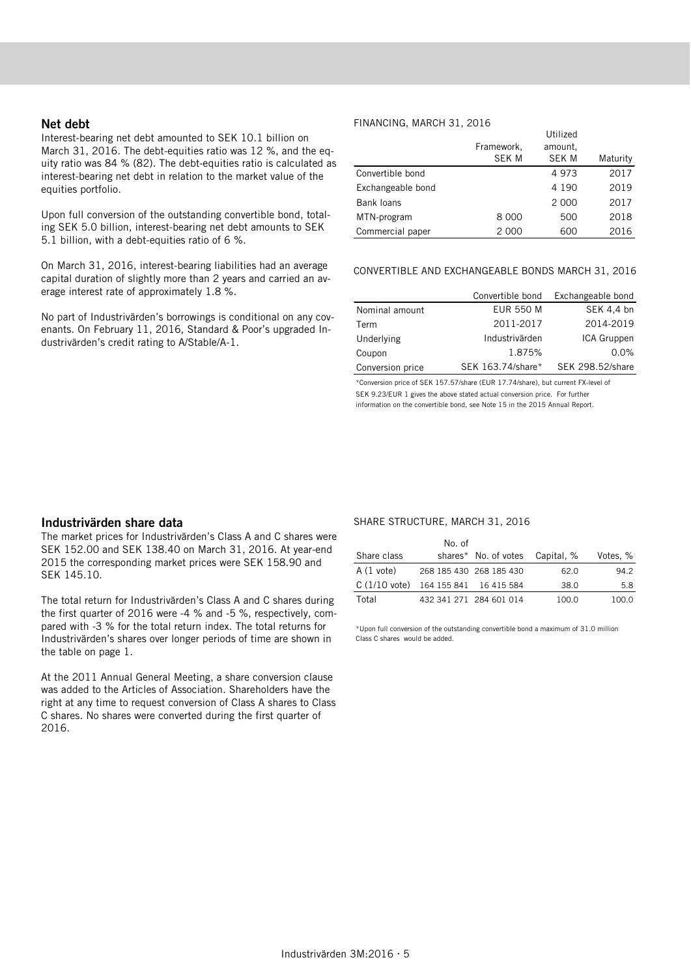#### Net debt

Interest-bearing net debt amounted to SEK 10.1 billion on March 31, 2016. The debt-equities ratio was 12 %, and the equity ratio was 84 % (82). The debt-equities ratio is calculated as interest-bearing net debt in relation to the market value of the equities portfolio.

Upon full conversion of the outstanding convertible bond, totaling SEK 5.0 billion, interest-bearing net debt amounts to SEK 5.1 billion, with a debt-equities ratio of 6 %.

On March 31, 2016, interest-bearing liabilities had an average capital duration of slightly more than 2 years and carried an average interest rate of approximately 1.8 %.

No part of Industrivärden's borrowings is conditional on any covenants. On February 11, 2016, Standard & Poor's upgraded Industrivärden's credit rating to A/Stable/A-1.

#### FINANCING, MARCH 31, 2016

|                   | Framework,<br><b>SEK M</b> | Utilized<br>amount.<br><b>SEK M</b> | Maturity |
|-------------------|----------------------------|-------------------------------------|----------|
| Convertible bond  |                            | 4973                                | 2017     |
| Exchangeable bond |                            | 4 1 9 0                             | 2019     |
| Bank loans        |                            | 2 0 0 0                             | 2017     |
| MTN-program       | 8 0 0 0                    | 500                                 | 2018     |
| Commercial paper  | 2 0 0 0                    | 600                                 | 2016     |

#### CONVERTIBLE AND EXCHANGEABLE BONDS MARCH 31, 2016

|                  | Convertible bond  | Exchangeable bond |
|------------------|-------------------|-------------------|
| Nominal amount   | <b>EUR 550 M</b>  | SEK 4,4 bn        |
| Term             | 2011-2017         | 2014-2019         |
| Underlying       | Industrivärden    | ICA Gruppen       |
| Coupon           | 1.875%            | $0.0\%$           |
| Conversion price | SEK 163.74/share* | SEK 298.52/share  |

\*Conversion price of SEK 157.57/share (EUR 17.74/share), but current FX-level of SEK 9.23/EUR 1 gives the above stated actual conversion price. For further information on the convertible bond, see Note 15 in the 2015 Annual Report.

#### Industrivärden share data

The market prices for Industrivärden's Class A and C shares were SEK 152.00 and SEK 138.40 on March 31, 2016. At year-end 2015 the corresponding market prices were SEK 158.90 and SEK 145.10.

The total return for Industrivärden's Class A and C shares during the first quarter of 2016 were -4 % and -5 %, respectively, compared with -3 % for the total return index. The total returns for Industrivärden's shares over longer periods of time are shown in the table on page 1.

At the 2011 Annual General Meeting, a share conversion clause was added to the Articles of Association. Shareholders have the right at any time to request conversion of Class A shares to Class C shares. No shares were converted during the first quarter of 2016.

#### SHARE STRUCTURE, MARCH 31, 2016

|                                               | No. of                  |                                 |       |          |
|-----------------------------------------------|-------------------------|---------------------------------|-------|----------|
| Share class                                   |                         | shares* No. of votes Capital, % |       | Votes, % |
| A (1 vote)                                    | 268 185 430 268 185 430 |                                 | 62.0  | 94.2     |
| $C(1/10 \text{ vote})$ 164 155 841 16 415 584 |                         |                                 | 38.0  | 5.8      |
| Total                                         |                         | 432 341 271 284 601 014         | 100.0 | 100.0    |

\*Upon full conversion of the outstanding convertible bond a maximum of 31.0 million Class C shares would be added.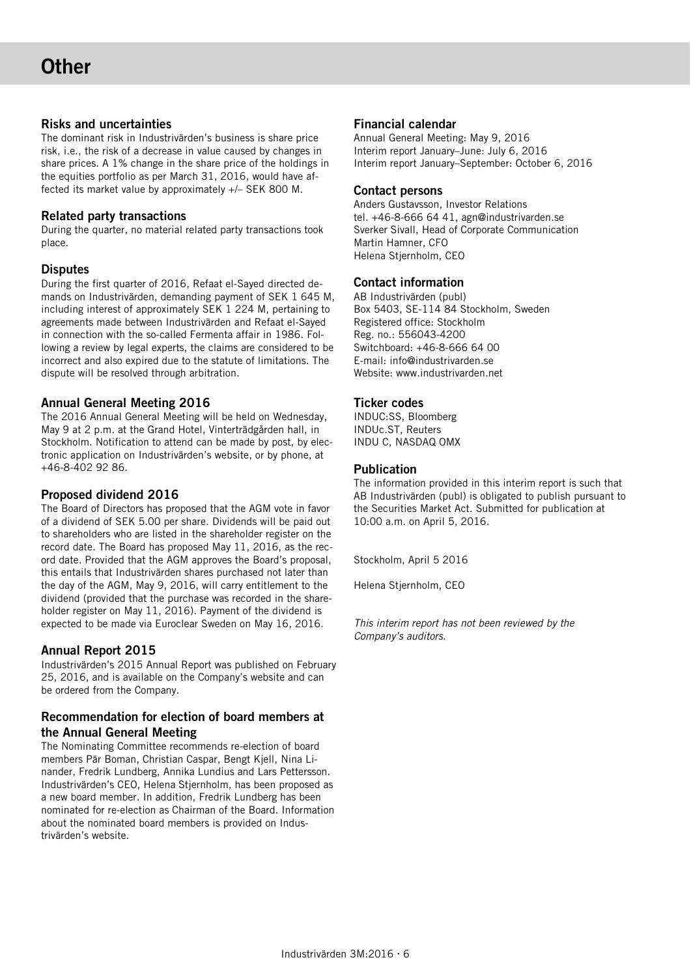# Risks and uncertainties

The dominant risk in Industrivärden's business is share price risk, i.e., the risk of a decrease in value caused by changes in share prices. A 1% change in the share price of the holdings in the equities portfolio as per March 31, 2016, would have affected its market value by approximately +/– SEK 800 M.

# Related party transactions

During the quarter, no material related party transactions took place.

# **Disputes**

During the first quarter of 2016, Refaat el-Sayed directed demands on Industrivärden, demanding payment of SEK 1 645 M, including interest of approximately SEK 1 224 M, pertaining to agreements made between Industrivärden and Refaat el-Sayed in connection with the so-called Fermenta affair in 1986. Following a review by legal experts, the claims are considered to be incorrect and also expired due to the statute of limitations. The dispute will be resolved through arbitration.

# Annual General Meeting 2016

The 2016 Annual General Meeting will be held on Wednesday, May 9 at 2 p.m. at the Grand Hotel, Vinterträdgården hall, in Stockholm. Notification to attend can be made by post, by electronic application on Industrivärden's website, or by phone, at +46-8-402 92 86.

# Proposed dividend 2016

The Board of Directors has proposed that the AGM vote in favor of a dividend of SEK 5.00 per share. Dividends will be paid out to shareholders who are listed in the shareholder register on the record date. The Board has proposed May 11, 2016, as the record date. Provided that the AGM approves the Board's proposal, this entails that Industrivärden shares purchased not later than the day of the AGM, May 9, 2016, will carry entitlement to the dividend (provided that the purchase was recorded in the shareholder register on May 11, 2016). Payment of the dividend is expected to be made via Euroclear Sweden on May 16, 2016.

# Annual Report 2015

Industrivärden's 2015 Annual Report was published on February 25, 2016, and is available on the Company's website and can be ordered from the Company.

# Recommendation for election of board members at the Annual General Meeting

The Nominating Committee recommends re-election of board members Pär Boman, Christian Caspar, Bengt Kjell, Nina Linander, Fredrik Lundberg, Annika Lundius and Lars Pettersson. Industrivärden's CEO, Helena Stjernholm, has been proposed as a new board member. In addition, Fredrik Lundberg has been nominated for re-election as Chairman of the Board. Information about the nominated board members is provided on Industrivärden's website.

# Financial calendar

Annual General Meeting: May 9, 2016 Interim report January–June: July 6, 2016 Interim report January–September: October 6, 2016

#### Contact persons

Anders Gustavsson, Investor Relations tel. +46-8-666 64 41, agn@industrivarden.se Sverker Sivall, Head of Corporate Communication Martin Hamner, CFO Helena Stjernholm, CEO

# Contact information

AB Industrivärden (publ) Box 5403, SE-114 84 Stockholm, Sweden Registered office: Stockholm Reg. no.: 556043-4200 Switchboard: +46-8-666 64 00 E-mail: info@industrivarden.se Website: www.industrivarden.net

## Ticker codes

INDUC:SS, Bloomberg INDUc.ST, Reuters INDU C, NASDAQ OMX

#### Publication

The information provided in this interim report is such that AB Industrivärden (publ) is obligated to publish pursuant to the Securities Market Act. Submitted for publication at 10:00 a.m. on April 5, 2016.

Stockholm, April 5 2016

Helena Stjernholm, CEO

*This interim report has not been reviewed by the Company's auditors.*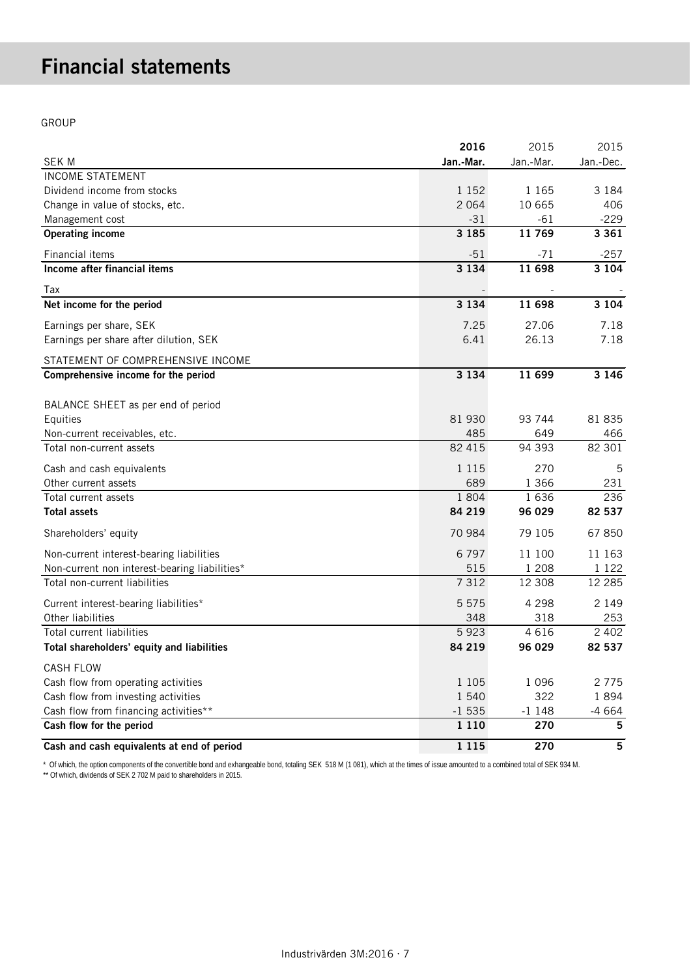# Financial statements

GROUP

|                                               | 2016      | 2015      | 2015      |
|-----------------------------------------------|-----------|-----------|-----------|
| <b>SEK M</b>                                  | Jan.-Mar. | Jan.-Mar. | Jan.-Dec. |
| <b>INCOME STATEMENT</b>                       |           |           |           |
| Dividend income from stocks                   | 1 1 5 2   | 1 1 6 5   | 3 1 8 4   |
| Change in value of stocks, etc.               | 2 0 6 4   | 10 665    | 406       |
| Management cost                               | $-31$     | $-61$     | $-229$    |
| <b>Operating income</b>                       | 3 1 8 5   | 11769     | 3 3 6 1   |
| Financial items                               | $-51$     | $-71$     | $-257$    |
| Income after financial items                  | 3 1 3 4   | 11 698    | 3 1 0 4   |
| Tax                                           |           |           |           |
| Net income for the period                     | 3 1 3 4   | 11 698    | 3 1 0 4   |
| Earnings per share, SEK                       | 7.25      | 27.06     | 7.18      |
| Earnings per share after dilution, SEK        | 6.41      | 26.13     | 7.18      |
| STATEMENT OF COMPREHENSIVE INCOME             |           |           |           |
| Comprehensive income for the period           | 3 1 3 4   | 11 699    | 3 1 4 6   |
|                                               |           |           |           |
| BALANCE SHEET as per end of period            | 81 930    | 93 744    | 81 835    |
| Equities<br>Non-current receivables, etc.     | 485       | 649       | 466       |
| Total non-current assets                      | 82 415    | 94 393    | 82 301    |
| Cash and cash equivalents                     | 1 1 1 5   | 270       | 5         |
| Other current assets                          | 689       | 1 3 6 6   | 231       |
| Total current assets                          | 1 804     | 1636      | 236       |
| <b>Total assets</b>                           | 84 219    | 96 029    | 82 537    |
|                                               |           |           |           |
| Shareholders' equity                          | 70 984    | 79 105    | 67850     |
| Non-current interest-bearing liabilities      | 6797      | 11 100    | 11 163    |
| Non-current non interest-bearing liabilities* | 515       | 1 2 0 8   | 1 1 2 2   |
| Total non-current liabilities                 | 7 3 1 2   | 12 308    | 12 2 8 5  |
| Current interest-bearing liabilities*         | 5 5 7 5   | 4 2 9 8   | 2 1 4 9   |
| Other liabilities                             | 348       | 318       | 253       |
| Total current liabilities                     | 5923      | 4616      | 2 4 0 2   |
| Total shareholders' equity and liabilities    | 84 219    | 96 029    | 82 537    |
| <b>CASH FLOW</b>                              |           |           |           |
| Cash flow from operating activities           | 1 1 0 5   | 1 0 9 6   | 2775      |
| Cash flow from investing activities           | 1 540     | 322       | 1894      |
| Cash flow from financing activities**         | $-1535$   | $-1148$   | $-4664$   |
| Cash flow for the period                      | 1 1 1 0   | 270       | 5         |
| Cash and cash equivalents at end of period    | 1 1 1 5   | 270       | 5         |

\* Of which, the option components of the convertible bond and exhangeable bond, totaling SEK 518 M (1 081), which at the times of issue amounted to a combined total of SEK 934 M. \*\* Of which, dividends of SEK 2 702 M paid to shareholders in 2015.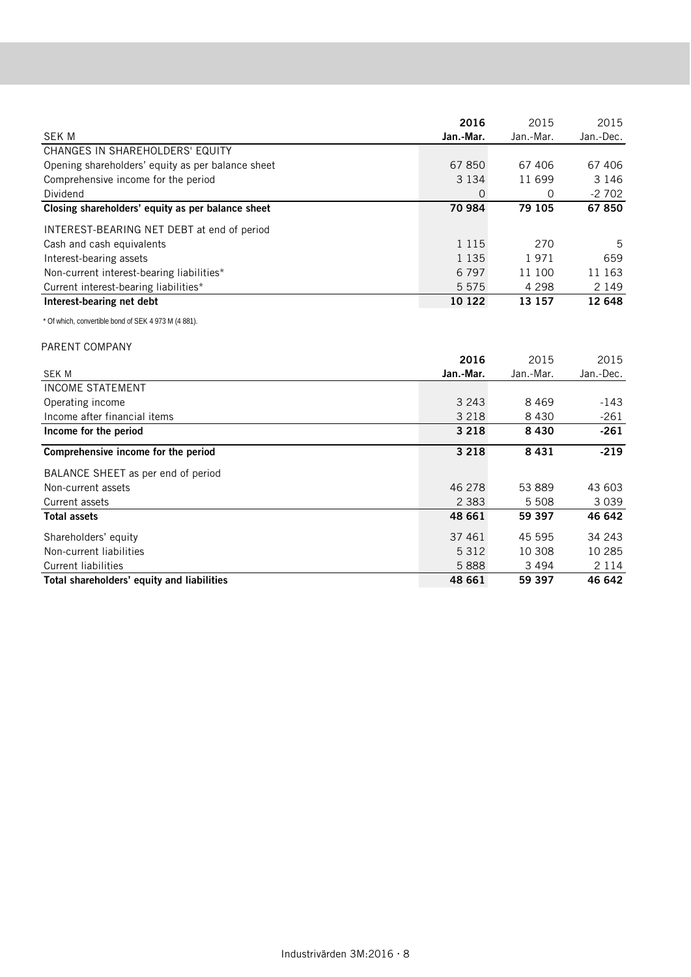|                                                   | 2016      | 2015      | 2015      |
|---------------------------------------------------|-----------|-----------|-----------|
| <b>SEK M</b>                                      | Jan.-Mar. | Jan.-Mar. | Jan.-Dec. |
| CHANGES IN SHAREHOLDERS' EQUITY                   |           |           |           |
| Opening shareholders' equity as per balance sheet | 67850     | 67 406    | 67 406    |
| Comprehensive income for the period               | 3 1 3 4   | 11699     | 3 146     |
| Dividend                                          | O         | 0         | $-2702$   |
| Closing shareholders' equity as per balance sheet | 70 984    | 79 105    | 67850     |
| INTEREST-BEARING NET DEBT at end of period        |           |           |           |
| Cash and cash equivalents                         | 1 1 1 5   | 270       | 5         |
| Interest-bearing assets                           | 1 1 3 5   | 1971      | 659       |
| Non-current interest-bearing liabilities*         | 6 7 9 7   | 11 100    | 11 163    |
| Current interest-bearing liabilities*             | 5 5 7 5   | 4 2 9 8   | 2 1 4 9   |
| Interest-bearing net debt                         | 10 122    | 13 157    | 12 648    |

\* Of which, convertible bond of SEK 4 973 M (4 881).

## PARENT COMPANY

|                                            | 2016      | 2015      | 2015      |
|--------------------------------------------|-----------|-----------|-----------|
| SEK M                                      | Jan.-Mar. | Jan.-Mar. | Jan.-Dec. |
| <b>INCOME STATEMENT</b>                    |           |           |           |
| Operating income                           | 3 2 4 3   | 8469      | -143      |
| Income after financial items               | 3 2 1 8   | 8 4 3 0   | $-261$    |
| Income for the period                      | 3 2 1 8   | 8430      | $-261$    |
| Comprehensive income for the period        | 3 2 1 8   | 8431      | $-219$    |
| BALANCE SHEET as per end of period         |           |           |           |
| Non-current assets                         | 46 278    | 53889     | 43 603    |
| Current assets                             | 2 3 8 3   | 5 5 0 8   | 3 0 3 9   |
| <b>Total assets</b>                        | 48 661    | 59 397    | 46 642    |
| Shareholders' equity                       | 37 461    | 45 595    | 34 243    |
| Non-current liabilities                    | 5 3 1 2   | 10 308    | 10 285    |
| Current liabilities                        | 5888      | 3494      | 2 1 1 4   |
| Total shareholders' equity and liabilities | 48 661    | 59 397    | 46 642    |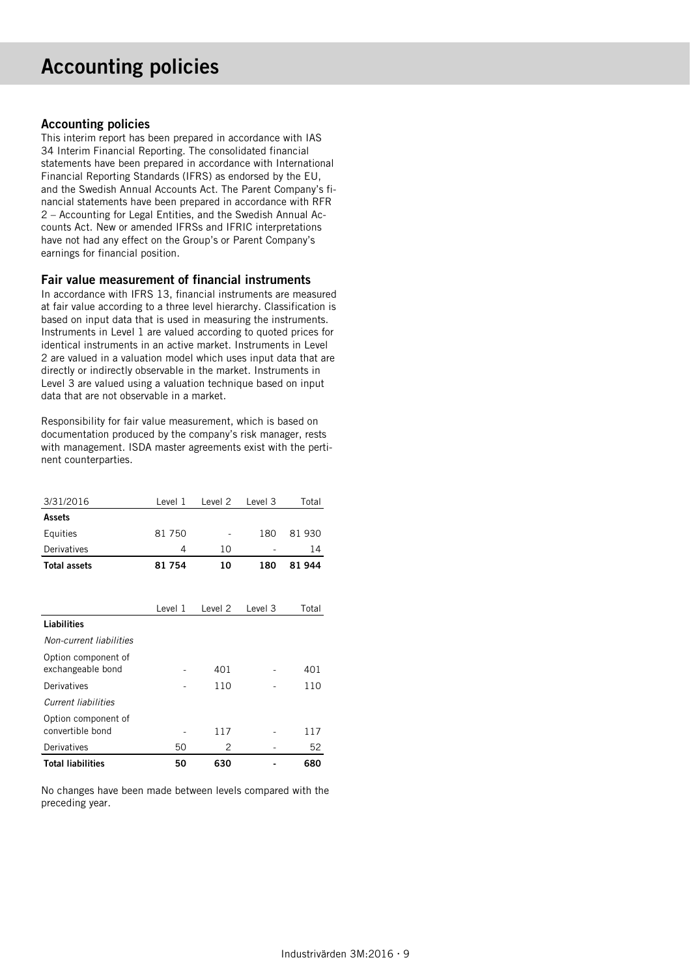# Accounting policies

## Accounting policies

This interim report has been prepared in accordance with IAS 34 Interim Financial Reporting. The consolidated financial statements have been prepared in accordance with International Financial Reporting Standards (IFRS) as endorsed by the EU, and the Swedish Annual Accounts Act. The Parent Company's financial statements have been prepared in accordance with RFR 2 – Accounting for Legal Entities, and the Swedish Annual Accounts Act. New or amended IFRSs and IFRIC interpretations have not had any effect on the Group's or Parent Company's earnings for financial position.

## Fair value measurement of financial instruments

In accordance with IFRS 13, financial instruments are measured at fair value according to a three level hierarchy. Classification is based on input data that is used in measuring the instruments. Instruments in Level 1 are valued according to quoted prices for identical instruments in an active market. Instruments in Level 2 are valued in a valuation model which uses input data that are directly or indirectly observable in the market. Instruments in Level 3 are valued using a valuation technique based on input data that are not observable in a market.

Responsibility for fair value measurement, which is based on documentation produced by the company's risk manager, rests with management. ISDA master agreements exist with the pertinent counterparties.

| 3/31/2016                | Level 1 | Level 2 | Level 3 | Total |
|--------------------------|---------|---------|---------|-------|
| <b>Assets</b>            |         |         |         |       |
| Equities                 | 81 750  |         | 180     | 81930 |
| Derivatives              | 4       | 10      |         | 14    |
| <b>Total assets</b>      | 81 754  | 10      | 180     | 81944 |
|                          |         |         |         |       |
|                          |         |         |         |       |
|                          | Level 1 | Level 2 | Level 3 | Total |
| <b>Liabilities</b>       |         |         |         |       |
| Non-current liabilities  |         |         |         |       |
| Option component of      |         |         |         |       |
| exchangeable bond        |         | 401     |         | 401   |
| Derivatives              |         | 110     |         | 110   |
| Current liabilities      |         |         |         |       |
| Option component of      |         |         |         |       |
| convertible bond         |         | 117     |         | 117   |
| Derivatives              | 50      | 2       |         | 52    |
| <b>Total liabilities</b> | 50      | 630     |         | 680   |

No changes have been made between levels compared with the preceding year.